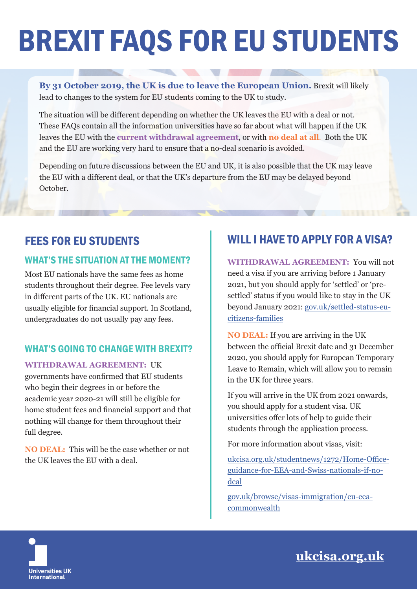# BREXIT FAQS FOR EU STUDENTS

**By 31 October 2019, the UK is due to leave the European Union.** Brexit will likely lead to changes to the system for EU students coming to the UK to study.

The situation will be different depending on whether the UK leaves the EU with a deal or not. These FAQs contain all the information universities have so far about what will happen if the UK leaves the EU with the **current withdrawal agreement**, or with **no deal at all**. Both the UK and the EU are working very hard to ensure that a no-deal scenario is avoided.

Depending on future discussions between the EU and UK, it is also possible that the UK may leave the EU with a different deal, or that the UK's departure from the EU may be delayed beyond October.

# FEES FOR EU STUDENTS

#### WHAT'S THE SITUATION AT THE MOMENT?

Most EU nationals have the same fees as home students throughout their degree. Fee levels vary in different parts of the UK. EU nationals are usually eligible for financial support. In Scotland, undergraduates do not usually pay any fees.

#### WHAT'S GOING TO CHANGE WITH BREXIT?

**WITHDRAWAL AGREEMENT:** UK governments have confirmed that EU students who begin their degrees in or before the academic year 2020-21 will still be eligible for home student fees and financial support and that nothing will change for them throughout their full degree.

**NO DEAL:** This will be the case whether or not the UK leaves the EU with a deal.

# WILL I HAVE TO APPLY FOR A VISA?

**WITHDRAWAL AGREEMENT:** You will not need a visa if you are arriving before 1 January 2021, but you should apply for 'settled' or 'presettled' status if you would like to stay in the UK beyond January 2021: gov.uk/settled-status-eucitizens-families

**NO DEAL:** If you are arriving in the UK between the official Brexit date and 31 December 2020, you should apply for European Temporary Leave to Remain, which will allow you to remain in the UK for three years.

If you will arrive in the UK from 2021 onwards, you should apply for a student visa. UK universities offer lots of help to guide their students through the application process.

For more information about visas, visit:

ukcisa.org.uk/studentnews/1272/Home-Officeguidance-for-EEA-and-Swiss-nationals-if-nodeal

gov.uk/browse/visas-immigration/eu-eeacommonwealth



**ukcisa.org.uk**